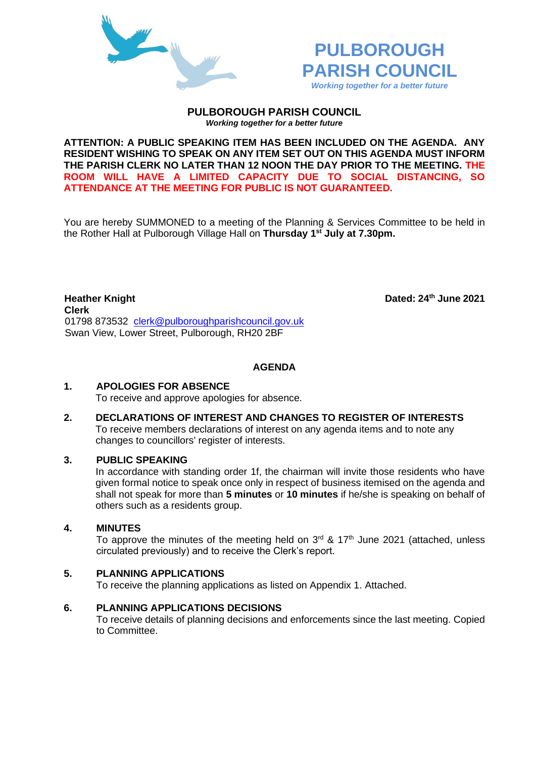



**PULBOROUGH PARISH COUNCIL** *Working together for a better future*

**ATTENTION: A PUBLIC SPEAKING ITEM HAS BEEN INCLUDED ON THE AGENDA. ANY RESIDENT WISHING TO SPEAK ON ANY ITEM SET OUT ON THIS AGENDA MUST INFORM THE PARISH CLERK NO LATER THAN 12 NOON THE DAY PRIOR TO THE MEETING. THE ROOM WILL HAVE A LIMITED CAPACITY DUE TO SOCIAL DISTANCING, SO ATTENDANCE AT THE MEETING FOR PUBLIC IS NOT GUARANTEED.**

You are hereby SUMMONED to a meeting of the Planning & Services Committee to be held in the Rother Hall at Pulborough Village Hall on **Thursday 1 st July at 7.30pm.** 

**Heather Knight Dated: 24th June 2021 Clerk**  01798 873532 [clerk@pulboroughparishcouncil.gov.uk](mailto:clerk@pulboroughparishcouncil.gov.uk) Swan View, Lower Street, Pulborough, RH20 2BF

**AGENDA**

### **1. APOLOGIES FOR ABSENCE**

To receive and approve apologies for absence.

**2. DECLARATIONS OF INTEREST AND CHANGES TO REGISTER OF INTERESTS** To receive members declarations of interest on any agenda items and to note any changes to councillors' register of interests.

### **3. PUBLIC SPEAKING**

In accordance with standing order 1f, the chairman will invite those residents who have given formal notice to speak once only in respect of business itemised on the agenda and shall not speak for more than **5 minutes** or **10 minutes** if he/she is speaking on behalf of others such as a residents group.

### **4. MINUTES**

To approve the minutes of the meeting held on  $3<sup>rd</sup>$  & 17<sup>th</sup> June 2021 (attached, unless circulated previously) and to receive the Clerk's report.

# **5. PLANNING APPLICATIONS**

To receive the planning applications as listed on Appendix 1. Attached.

### **6. PLANNING APPLICATIONS DECISIONS**

To receive details of planning decisions and enforcements since the last meeting. Copied to Committee.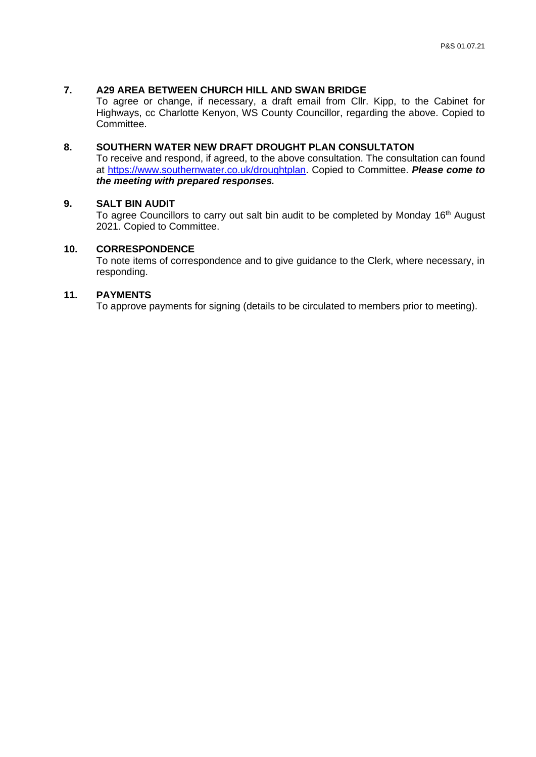# **7. A29 AREA BETWEEN CHURCH HILL AND SWAN BRIDGE**

To agree or change, if necessary, a draft email from Cllr. Kipp, to the Cabinet for Highways, cc Charlotte Kenyon, WS County Councillor, regarding the above. Copied to Committee.

# **8. SOUTHERN WATER NEW DRAFT DROUGHT PLAN CONSULTATON**

To receive and respond, if agreed, to the above consultation. The consultation can found at [https://www.southernwater.co.uk/droughtplan.](https://www.southernwater.co.uk/droughtplan) Copied to Committee. *Please come to the meeting with prepared responses.*

# **9. SALT BIN AUDIT**

To agree Councillors to carry out salt bin audit to be completed by Monday 16<sup>th</sup> August 2021. Copied to Committee.

## **10. CORRESPONDENCE**

To note items of correspondence and to give guidance to the Clerk, where necessary, in responding.

## **11. PAYMENTS**

To approve payments for signing (details to be circulated to members prior to meeting).